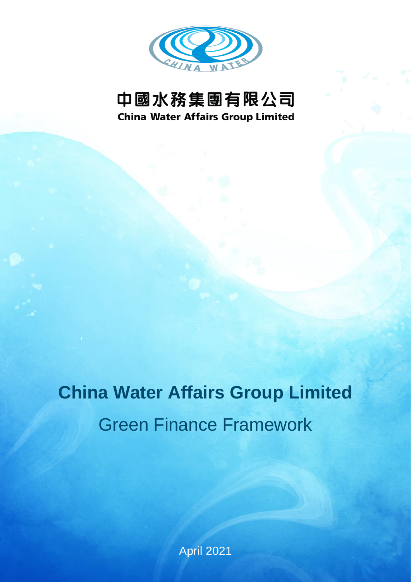

# 中國水務集團有限公司 **China Water Affairs Group Limited**

**China Water Affairs Group Limited**

# Green Finance Framework

April 2021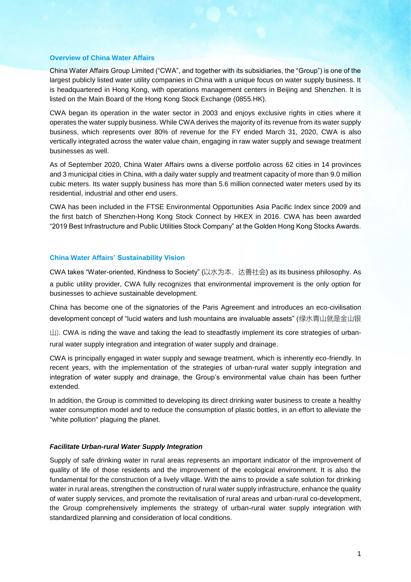#### **Overview of China Water Affairs**

China Water Affairs Group Limited ("CWA", and together with its subsidiaries, the "Group") is one of the largest publicly listed water utility companies in China with a unique focus on water supply business. It is headquartered in Hong Kong, with operations management centers in Beijing and Shenzhen. It is listed on the Main Board of the Hong Kong Stock Exchange (0855.HK).

CWA began its operation in the water sector in 2003 and enjoys exclusive rights in cities where it operates the water supply business. While CWA derives the majority of its revenue from its water supply business, which represents over 80% of revenue for the FY ended March 31, 2020, CWA is also vertically integrated across the water value chain, engaging in raw water supply and sewage treatment businesses as well.

As of September 2020, China Water Affairs owns a diverse portfolio across 62 cities in 14 provinces and 3 municipal cities in China, with a daily water supply and treatment capacity of more than 9.0 million cubic meters. Its water supply business has more than 5.6 million connected water meters used by its residential, industrial and other end users.

CWA has been included in the FTSE Environmental Opportunities Asia Pacific Index since 2009 and the first batch of Shenzhen-Hong Kong Stock Connect by HKEX in 2016. CWA has been awarded "2019 Best Infrastructure and Public Utilities Stock Company" at the Golden Hong Kong Stocks Awards.

#### **China Water Affairs' Sustainability Vision**

CWA takes "Water-oriented, Kindness to Society" (以水为本,达善社会) as its business philosophy. As a public utility provider, CWA fully recognizes that environmental improvement is the only option for businesses to achieve sustainable development.

China has become one of the signatories of the Paris Agreement and introduces an eco-civilisation development concept of "lucid waters and lush mountains are invaluable assets" (绿水青山就是金山银

 $\Box$ ). CWA is riding the wave and taking the lead to steadfastly implement its core strategies of urbanrural water supply integration and integration of water supply and drainage.

CWA is principally engaged in water supply and sewage treatment, which is inherently eco-friendly. In recent years, with the implementation of the strategies of urban-rural water supply integration and integration of water supply and drainage, the Group's environmental value chain has been further extended.

In addition, the Group is committed to developing its direct drinking water business to create a healthy water consumption model and to reduce the consumption of plastic bottles, in an effort to alleviate the "white pollution" plaguing the planet.

#### *Facilitate Urban-rural Water Supply Integration*

Supply of safe drinking water in rural areas represents an important indicator of the improvement of quality of life of those residents and the improvement of the ecological environment. It is also the fundamental for the construction of a lively village. With the aims to provide a safe solution for drinking water in rural areas, strengthen the construction of rural water supply infrastructure, enhance the quality of water supply services, and promote the revitalisation of rural areas and urban-rural co-development, the Group comprehensively implements the strategy of urban-rural water supply integration with standardized planning and consideration of local conditions.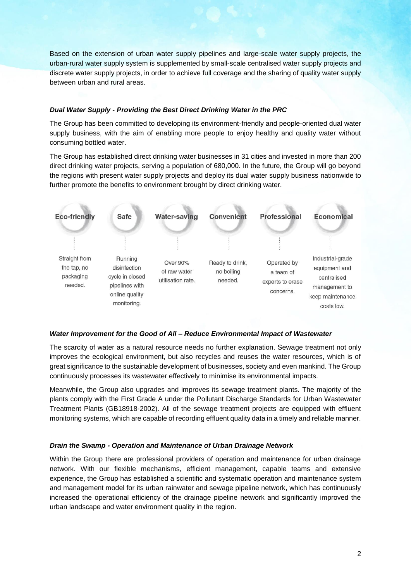Based on the extension of urban water supply pipelines and large-scale water supply projects, the urban-rural water supply system is supplemented by small-scale centralised water supply projects and discrete water supply projects, in order to achieve full coverage and the sharing of quality water supply between urban and rural areas.

# *Dual Water Supply - Providing the Best Direct Drinking Water in the PRC*

The Group has been committed to developing its environment-friendly and people-oriented dual water supply business, with the aim of enabling more people to enjoy healthy and quality water without consuming bottled water.

The Group has established direct drinking water businesses in 31 cities and invested in more than 200 direct drinking water projects, serving a population of 680,000. In the future, the Group will go beyond the regions with present water supply projects and deploy its dual water supply business nationwide to further promote the benefits to environment brought by direct drinking water.



#### *Water Improvement for the Good of All – Reduce Environmental Impact of Wastewater*

The scarcity of water as a natural resource needs no further explanation. Sewage treatment not only improves the ecological environment, but also recycles and reuses the water resources, which is of great significance to the sustainable development of businesses, society and even mankind. The Group continuously processes its wastewater effectively to minimise its environmental impacts.

Meanwhile, the Group also upgrades and improves its sewage treatment plants. The majority of the plants comply with the First Grade A under the Pollutant Discharge Standards for Urban Wastewater Treatment Plants (GB18918-2002). All of the sewage treatment projects are equipped with effluent monitoring systems, which are capable of recording effluent quality data in a timely and reliable manner.

# *Drain the Swamp - Operation and Maintenance of Urban Drainage Network*

Within the Group there are professional providers of operation and maintenance for urban drainage network. With our flexible mechanisms, efficient management, capable teams and extensive experience, the Group has established a scientific and systematic operation and maintenance system and management model for its urban rainwater and sewage pipeline network, which has continuously increased the operational efficiency of the drainage pipeline network and significantly improved the urban landscape and water environment quality in the region.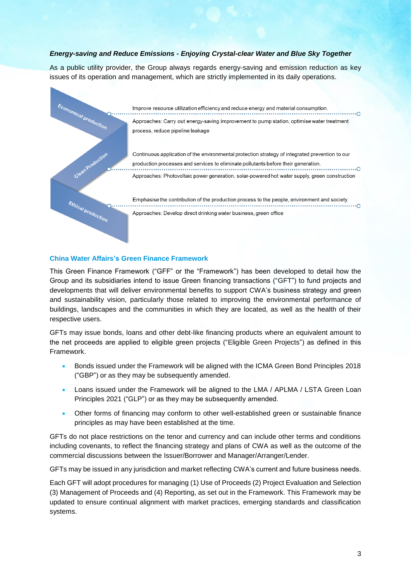# *Energy-saving and Reduce Emissions - Enjoying Crystal-clear Water and Blue Sky Together*

As a public utility provider, the Group always regards energy-saving and emission reduction as key issues of its operation and management, which are strictly implemented in its daily operations.



Improve resource utilization efficiency and reduce energy and material consumption.  $\overline{\Omega}$ Approaches: Carry out energy-saving improvement to pump station, optimise water treatment process, reduce pipeline leakage

Continuous application of the environmental protection strategy of integrated prevention to our production processes and services to eliminate pollutants before their generation. Approaches: Photovoltaic power generation, solar-powered hot water supply, green construction

Emphasise the contribution of the production process to the people, environment and society.  $\cdot \circ$ Approaches: Develop direct drinking water business, green office

#### **China Water Affairs's Green Finance Framework**

This Green Finance Framework ("GFF" or the "Framework") has been developed to detail how the Group and its subsidiaries intend to issue Green financing transactions ("GFT") to fund projects and developments that will deliver environmental benefits to support CWA's business strategy and green and sustainability vision, particularly those related to improving the environmental performance of buildings, landscapes and the communities in which they are located, as well as the health of their respective users.

GFTs may issue bonds, loans and other debt-like financing products where an equivalent amount to the net proceeds are applied to eligible green projects ("Eligible Green Projects") as defined in this Framework.

- Bonds issued under the Framework will be aligned with the ICMA Green Bond Principles 2018 ("GBP") or as they may be subsequently amended.
- Loans issued under the Framework will be aligned to the LMA / APLMA / LSTA Green Loan Principles 2021 ("GLP") or as they may be subsequently amended.
- Other forms of financing may conform to other well-established green or sustainable finance principles as may have been established at the time.

GFTs do not place restrictions on the tenor and currency and can include other terms and conditions including covenants, to reflect the financing strategy and plans of CWA as well as the outcome of the commercial discussions between the Issuer/Borrower and Manager/Arranger/Lender.

GFTs may be issued in any jurisdiction and market reflecting CWA's current and future business needs.

Each GFT will adopt procedures for managing (1) Use of Proceeds (2) Project Evaluation and Selection (3) Management of Proceeds and (4) Reporting, as set out in the Framework. This Framework may be updated to ensure continual alignment with market practices, emerging standards and classification systems.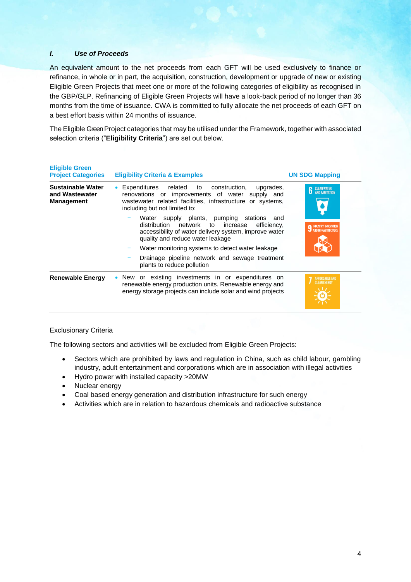# *I. Use of Proceeds*

An equivalent amount to the net proceeds from each GFT will be used exclusively to finance or refinance, in whole or in part, the acquisition, construction, development or upgrade of new or existing Eligible Green Projects that meet one or more of the following categories of eligibility as recognised in the GBP/GLP. Refinancing of Eligible Green Projects will have a look-back period of no longer than 36 months from the time of issuance. CWA is committed to fully allocate the net proceeds of each GFT on a best effort basis within 24 months of issuance.

The Eligible Green Project categories that may be utilised under the Framework, together with associated selection criteria ("**Eligibility Criteria**") are set out below.

| <b>Eligible Green</b><br><b>Project Categories</b>              | <b>Eligibility Criteria &amp; Examples</b>                                                                                                                                                            | <b>UN SDG Mapping</b>                |
|-----------------------------------------------------------------|-------------------------------------------------------------------------------------------------------------------------------------------------------------------------------------------------------|--------------------------------------|
| <b>Sustainable Water</b><br>and Wastewater<br><b>Management</b> | • Expenditures related to construction,<br>upgrades,<br>renovations or improvements of water supply and<br>wastewater related facilities, infrastructure or systems,<br>including but not limited to: | <b>CLEAN WATER</b><br>AND SANITATION |
|                                                                 | Water supply plants, pumping stations and<br>distribution network to<br>increase<br>efficiency,<br>accessibility of water delivery system, improve water<br>quality and reduce water leakage          | <b>9 INDUSTRY, INNOVATION</b>        |
|                                                                 | Water monitoring systems to detect water leakage<br>Drainage pipeline network and sewage treatment<br>plants to reduce pollution                                                                      |                                      |
| <b>Renewable Energy</b>                                         | • New or existing investments in or expenditures on<br>renewable energy production units. Renewable energy and<br>energy storage projects can include solar and wind projects                         | FFORDABLE AND<br><b>CLEAN ENFRGY</b> |

# Exclusionary Criteria

The following sectors and activities will be excluded from Eligible Green Projects:

- Sectors which are prohibited by laws and regulation in China, such as child labour, gambling industry, adult entertainment and corporations which are in association with illegal activities
- Hydro power with installed capacity >20MW
- Nuclear energy
- Coal based energy generation and distribution infrastructure for such energy
- Activities which are in relation to hazardous chemicals and radioactive substance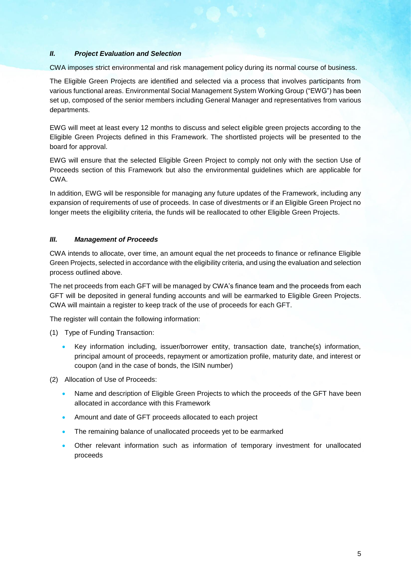# *II. Project Evaluation and Selection*

CWA imposes strict environmental and risk management policy during its normal course of business.

The Eligible Green Projects are identified and selected via a process that involves participants from various functional areas. Environmental Social Management System Working Group ("EWG") has been set up, composed of the senior members including General Manager and representatives from various departments.

EWG will meet at least every 12 months to discuss and select eligible green projects according to the Eligible Green Projects defined in this Framework. The shortlisted projects will be presented to the board for approval.

EWG will ensure that the selected Eligible Green Project to comply not only with the section Use of Proceeds section of this Framework but also the environmental guidelines which are applicable for CWA.

In addition, EWG will be responsible for managing any future updates of the Framework, including any expansion of requirements of use of proceeds. In case of divestments or if an Eligible Green Project no longer meets the eligibility criteria, the funds will be reallocated to other Eligible Green Projects.

# *III. Management of Proceeds*

CWA intends to allocate, over time, an amount equal the net proceeds to finance or refinance Eligible Green Projects, selected in accordance with the eligibility criteria, and using the evaluation and selection process outlined above.

The net proceeds from each GFT will be managed by CWA's finance team and the proceeds from each GFT will be deposited in general funding accounts and will be earmarked to Eligible Green Projects. CWA will maintain a register to keep track of the use of proceeds for each GFT.

The register will contain the following information:

- (1) Type of Funding Transaction:
	- Key information including, issuer/borrower entity, transaction date, tranche(s) information, principal amount of proceeds, repayment or amortization profile, maturity date, and interest or coupon (and in the case of bonds, the ISIN number)
- (2) Allocation of Use of Proceeds:
	- Name and description of Eligible Green Projects to which the proceeds of the GFT have been allocated in accordance with this Framework
	- Amount and date of GFT proceeds allocated to each project
	- The remaining balance of unallocated proceeds yet to be earmarked
	- Other relevant information such as information of temporary investment for unallocated proceeds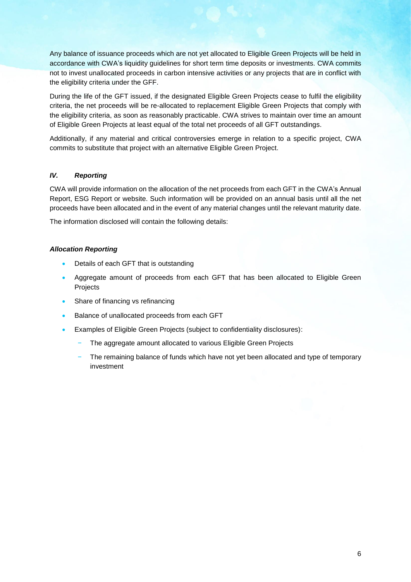Any balance of issuance proceeds which are not yet allocated to Eligible Green Projects will be held in accordance with CWA's liquidity guidelines for short term time deposits or investments. CWA commits not to invest unallocated proceeds in carbon intensive activities or any projects that are in conflict with the eligibility criteria under the GFF.

During the life of the GFT issued, if the designated Eligible Green Projects cease to fulfil the eligibility criteria, the net proceeds will be re-allocated to replacement Eligible Green Projects that comply with the eligibility criteria, as soon as reasonably practicable. CWA strives to maintain over time an amount of Eligible Green Projects at least equal of the total net proceeds of all GFT outstandings.

Additionally, if any material and critical controversies emerge in relation to a specific project, CWA commits to substitute that project with an alternative Eligible Green Project.

# *IV. Reporting*

CWA will provide information on the allocation of the net proceeds from each GFT in the CWA's Annual Report, ESG Report or website. Such information will be provided on an annual basis until all the net proceeds have been allocated and in the event of any material changes until the relevant maturity date.

The information disclosed will contain the following details:

# *Allocation Reporting*

- Details of each GFT that is outstanding
- Aggregate amount of proceeds from each GFT that has been allocated to Eligible Green Projects
- Share of financing vs refinancing
- Balance of unallocated proceeds from each GFT
- Examples of Eligible Green Projects (subject to confidentiality disclosures):
	- The aggregate amount allocated to various Eligible Green Projects
	- The remaining balance of funds which have not yet been allocated and type of temporary investment